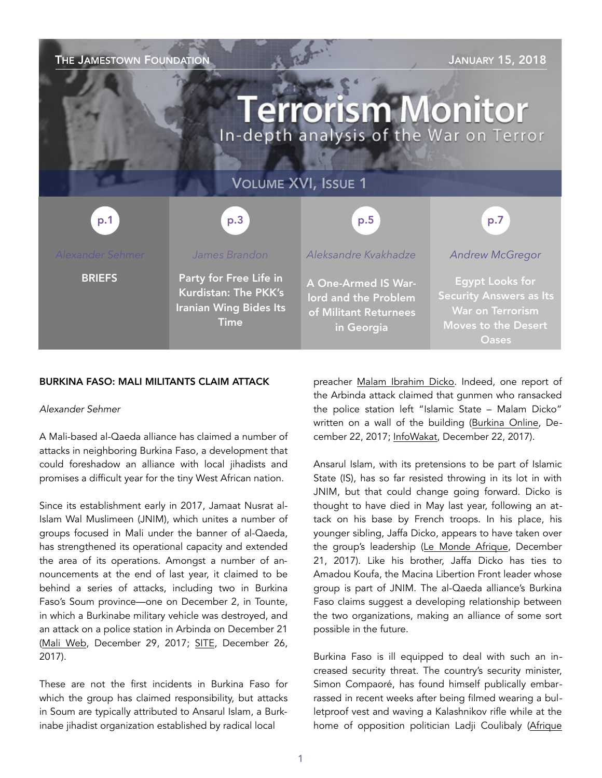| THE JAMESTOWN FOUNDATION<br><b>JANUARY 15, 2018</b><br><b>Terrorism Monitor</b><br>In-depth analysis of the War on Terror |                                                                                                       |                                                                                           |                                                                                                                                   |
|---------------------------------------------------------------------------------------------------------------------------|-------------------------------------------------------------------------------------------------------|-------------------------------------------------------------------------------------------|-----------------------------------------------------------------------------------------------------------------------------------|
| <b>VOLUME XVI, ISSUE 1</b>                                                                                                |                                                                                                       |                                                                                           |                                                                                                                                   |
| p.1                                                                                                                       | p.3                                                                                                   | p.5                                                                                       | p.7                                                                                                                               |
| <b>Alexander Sehmer</b>                                                                                                   | James Brandon                                                                                         | Aleksandre Kvakhadze                                                                      | <b>Andrew McGregor</b>                                                                                                            |
| <b>BRIEFS</b>                                                                                                             | Party for Free Life in<br><b>Kurdistan: The PKK's</b><br><b>Iranian Wing Bides Its</b><br><b>Time</b> | <b>A One-Armed IS War-</b><br>lord and the Problem<br>of Militant Returnees<br>in Georgia | <b>Egypt Looks for</b><br><b>Security Answers as Its</b><br><b>War on Terrorism</b><br><b>Moves to the Desert</b><br><b>Oases</b> |

#### BURKINA FASO: MALI MILITANTS CLAIM ATTACK

#### *Alexander Sehmer*

A Mali-based al-Qaeda alliance has claimed a number of attacks in neighboring Burkina Faso, a development that could foreshadow an alliance with local jihadists and promises a difficult year for the tiny West African nation.

Since its establishment early in 2017, Jamaat Nusrat al-Islam Wal Muslimeen (JNIM), which unites a number of groups focused in Mali under the banner of al-Qaeda, has strengthened its operational capacity and extended the area of its operations. Amongst a number of announcements at the end of last year, it claimed to be behind a series of attacks, including two in Burkina Faso's Soum province—one on December 2, in Tounte, in which a Burkinabe military vehicle was destroyed, and an attack on a police station in Arbinda on December 21 ([Mali Web,](http://www.maliweb.net/insecurite/mali-burkina-faso-main-diabolique-de-jnim-derriere-attaques-terroristes-2728843.html) December 29, 2017; [SITE](https://ent.siteintelgroup.com/Statements/al-qaeda-s-mali-branch-claims-two-attacks-in-burkina-faso-striking-g5-sahel-force-in-mali.html), December 26, 2017).

These are not the first incidents in Burkina Faso for which the group has claimed responsibility, but attacks in Soum are typically attributed to Ansarul Islam, a Burkinabe jihadist organization established by radical local

preacher [Malam Ibrahim Dicko](https://jamestown.org/organization/malam-ibrahim-dicko/). Indeed, one report of the Arbinda attack claimed that gunmen who ransacked the police station left "Islamic State – Malam Dicko" written on a wall of the building ([Burkina Online,](http://www.burkinaonline.com/wp/sahel-la-brigade-de-gendarmerie-daribinda-attaquee-et-une-revendication-laissee-sur-les-lieux/) December 22, 2017; [InfoWakat,](https://infowakat.net/sahel-brigade-de-gendarmerie-daribinda-attaquee-revendication-laissee-lieux/) December 22, 2017).

Ansarul Islam, with its pretensions to be part of Islamic State (IS), has so far resisted throwing in its lot in with JNIM, but that could change going forward. Dicko is thought to have died in May last year, following an attack on his base by French troops. In his place, his younger sibling, Jaffa Dicko, appears to have taken over the group's leadership ([Le Monde Afrique,](http://www.lemonde.fr/afrique/article/2017/12/21/jafar-dicko-le-nouveau-visage-du-djihadisme-au-burkina-faso_5232877_3212.html) December 21, 2017). Like his brother, Jaffa Dicko has ties to Amadou Koufa, the Macina Libertion Front leader whose group is part of JNIM. The al-Qaeda alliance's Burkina Faso claims suggest a developing relationship between the two organizations, making an alliance of some sort possible in the future.

Burkina Faso is ill equipped to deal with such an increased security threat. The country's security minister, Simon Compaoré, has found himself publically embarrassed in recent weeks after being filmed wearing a bulletproof vest and waving a Kalashnikov rifle while at the home of opposition politician Ladji Coulibaly ([Afrique](https://www.afrique-sur7.fr/377107-burkina-faso-une-plainte-annoncee-contre-simon-compaore)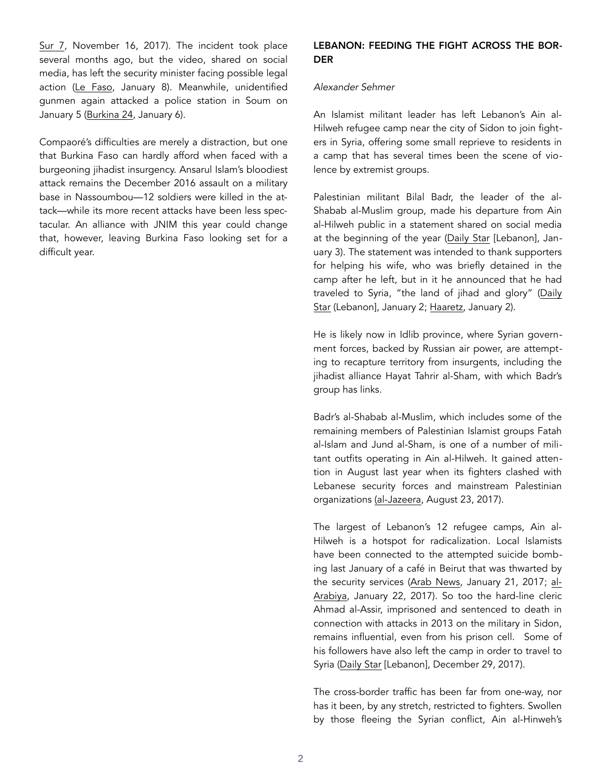[Sur 7,](https://www.afrique-sur7.fr/377107-burkina-faso-une-plainte-annoncee-contre-simon-compaore) November 16, 2017). The incident took place several months ago, but the video, shared on social media, has left the security minister facing possible legal action [\(Le Faso](http://lefaso.net/spip.php?article81331), January 8). Meanwhile, unidentified gunmen again attacked a police station in Soum on January 5 [\(Burkina 24](https://burkina24.com/2018/01/06/burkina-une-attaque-repoussee-dans-le-soum/), January 6).

Compaoré's difficulties are merely a distraction, but one that Burkina Faso can hardly afford when faced with a burgeoning jihadist insurgency. Ansarul Islam's bloodiest attack remains the December 2016 assault on a military base in Nassoumbou—12 soldiers were killed in the attack—while its more recent attacks have been less spectacular. An alliance with JNIM this year could change that, however, leaving Burkina Faso looking set for a difficult year.

# LEBANON: FEEDING THE FIGHT ACROSS THE BOR-DER

#### *Alexander Sehmer*

An Islamist militant leader has left Lebanon's Ain al-Hilweh refugee camp near the city of Sidon to join fighters in Syria, offering some small reprieve to residents in a camp that has several times been the scene of violence by extremist groups.

Palestinian militant Bilal Badr, the leader of the al-Shabab al-Muslim group, made his departure from Ain al-Hilweh public in a statement shared on social media at the beginning of the year ([Daily Star](https://www.dailystar.com.lb/News/Lebanon-News/2018/Jan-03/432248-badr-says-in-syria-after-fleeing-ain-al-hilweh.ashx) [Lebanon], January 3). The statement was intended to thank supporters for helping his wife, who was briefly detained in the camp after he left, but in it he announced that he had traveled to Syria, "the land of jihad and glory" ([Daily](https://www.dailystar.com.lb/News/Lebanon-News/2018/Jan-01/432109-wife-of-bilal-badr-briefly-detained.ashx)  [Star](https://www.dailystar.com.lb/News/Lebanon-News/2018/Jan-01/432109-wife-of-bilal-badr-briefly-detained.ashx) (Lebanon], January 2; [Haaretz](https://www.haaretz.com/middle-east-news/syria/1.832623), January 2).

He is likely now in Idlib province, where Syrian government forces, backed by Russian air power, are attempting to recapture territory from insurgents, including the jihadist alliance Hayat Tahrir al-Sham, with which Badr's group has links.

Badr's al-Shabab al-Muslim, which includes some of the remaining members of Palestinian Islamist groups Fatah al-Islam and Jund al-Sham, is one of a number of militant outfits operating in Ain al-Hilweh. It gained attention in August last year when its fighters clashed with Lebanese security forces and mainstream Palestinian organizations [\(al-Jazeera,](https://www.aljazeera.com/news/2017/08/deadly-clashes-grip-ain-al-hilweh-refugee-camp-170823200622591.html) August 23, 2017).

The largest of Lebanon's 12 refugee camps, Ain al-Hilweh is a hotspot for radicalization. Local Islamists have been connected to the attempted suicide bombing last January of a café in Beirut that was thwarted by the security services ([Arab News](http://www.arabnews.com/node/1042566/middle-east), January 21, 2017; [al-](https://english.alarabiya.net/en/News/middle-east/2017/01/22/Lebanon-foils-bomber-in-busy-Beirut-s-Hamra.html)[Arabiya,](https://english.alarabiya.net/en/News/middle-east/2017/01/22/Lebanon-foils-bomber-in-busy-Beirut-s-Hamra.html) January 22, 2017). So too the hard-line cleric Ahmad al-Assir, imprisoned and sentenced to death in connection with attacks in 2013 on the military in Sidon, remains influential, even from his prison cell. Some of his followers have also left the camp in order to travel to Syria ([Daily Star](https://www.dailystar.com.lb/News/Lebanon-News/2017/Dec-29/431932-four-militants-flee-ain-al-hilweh-for-syrian-border.ashx) [Lebanon], December 29, 2017).

The cross-border traffic has been far from one-way, nor has it been, by any stretch, restricted to fighters. Swollen by those fleeing the Syrian conflict, Ain al-Hinweh's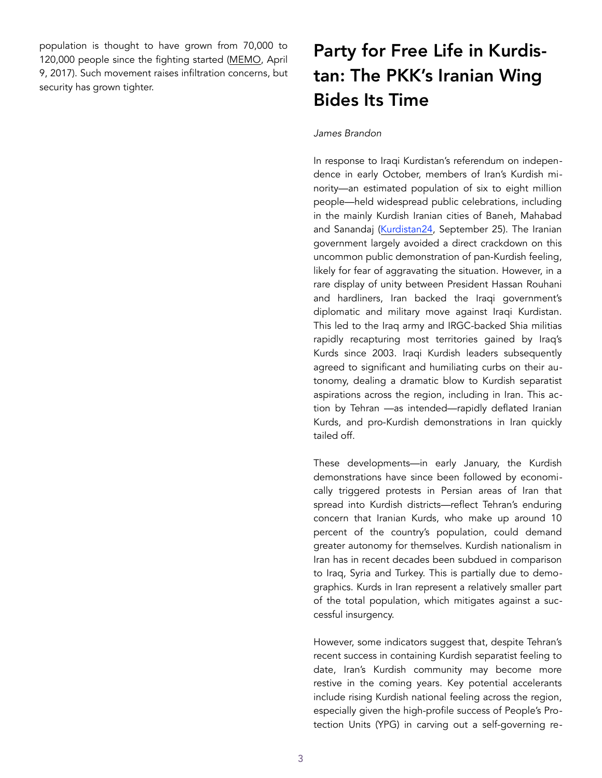population is thought to have grown from 70,000 to 120,000 people since the fighting started [\(MEMO](https://www.middleeastmonitor.com/20170409-palestinians-killed-in-armed-violence-in-lebanons-ain-al-hilweh-refugee-camp/), April 9, 2017). Such movement raises infiltration concerns, but security has grown tighter.

# Party for Free Life in Kurdistan: The PKK's Iranian Wing Bides Its Time

#### *James Brandon*

In response to Iraqi Kurdistan's referendum on independence in early October, members of Iran's Kurdish minority—an estimated population of six to eight million people—held widespread public celebrations, including in the mainly Kurdish Iranian cities of Baneh, Mahabad and Sanandaj ([Kurdistan24](http://www.kurdistan24.net/en/news/8ff3ad1e-ebe9-48ed-a6b5-c6841f21258d), September 25). The Iranian government largely avoided a direct crackdown on this uncommon public demonstration of pan-Kurdish feeling, likely for fear of aggravating the situation. However, in a rare display of unity between President Hassan Rouhani and hardliners, Iran backed the Iraqi government's diplomatic and military move against Iraqi Kurdistan. This led to the Iraq army and IRGC-backed Shia militias rapidly recapturing most territories gained by Iraq's Kurds since 2003. Iraqi Kurdish leaders subsequently agreed to significant and humiliating curbs on their autonomy, dealing a dramatic blow to Kurdish separatist aspirations across the region, including in Iran. This action by Tehran —as intended—rapidly deflated Iranian Kurds, and pro-Kurdish demonstrations in Iran quickly tailed off.

These developments—in early January, the Kurdish demonstrations have since been followed by economically triggered protests in Persian areas of Iran that spread into Kurdish districts—reflect Tehran's enduring concern that Iranian Kurds, who make up around 10 percent of the country's population, could demand greater autonomy for themselves. Kurdish nationalism in Iran has in recent decades been subdued in comparison to Iraq, Syria and Turkey. This is partially due to demographics. Kurds in Iran represent a relatively smaller part of the total population, which mitigates against a successful insurgency.

However, some indicators suggest that, despite Tehran's recent success in containing Kurdish separatist feeling to date, Iran's Kurdish community may become more restive in the coming years. Key potential accelerants include rising Kurdish national feeling across the region, especially given the high-profile success of People's Protection Units (YPG) in carving out a self-governing re-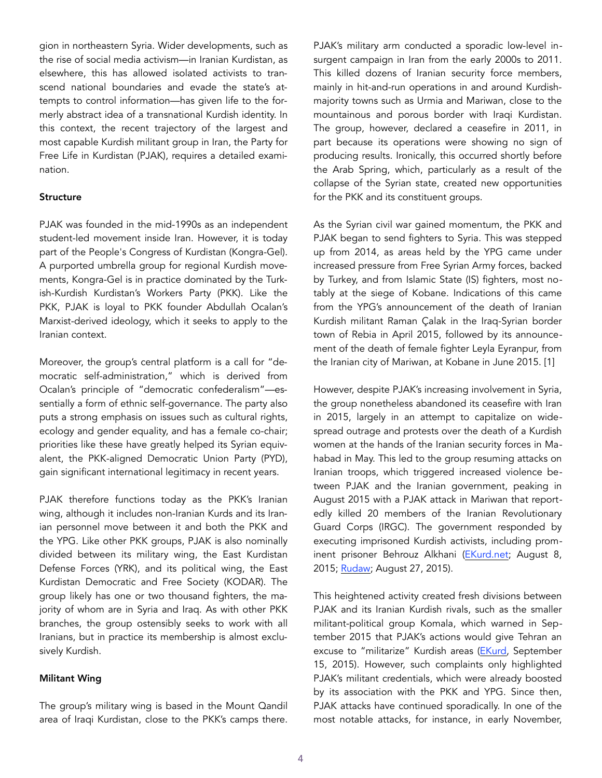gion in northeastern Syria. Wider developments, such as the rise of social media activism—in Iranian Kurdistan, as elsewhere, this has allowed isolated activists to transcend national boundaries and evade the state's attempts to control information—has given life to the formerly abstract idea of a transnational Kurdish identity. In this context, the recent trajectory of the largest and most capable Kurdish militant group in Iran, the Party for Free Life in Kurdistan (PJAK), requires a detailed examination.

#### **Structure**

PJAK was founded in the mid-1990s as an independent student-led movement inside Iran. However, it is today part of the People's Congress of Kurdistan (Kongra-Gel). A purported umbrella group for regional Kurdish movements, Kongra-Gel is in practice dominated by the Turkish-Kurdish Kurdistan's Workers Party (PKK). Like the PKK, PJAK is loyal to PKK founder Abdullah Ocalan's Marxist-derived ideology, which it seeks to apply to the Iranian context.

Moreover, the group's central platform is a call for "democratic self-administration," which is derived from Ocalan's principle of "democratic confederalism"—essentially a form of ethnic self-governance. The party also puts a strong emphasis on issues such as cultural rights, ecology and gender equality, and has a female co-chair; priorities like these have greatly helped its Syrian equivalent, the PKK-aligned Democratic Union Party (PYD), gain significant international legitimacy in recent years.

PJAK therefore functions today as the PKK's Iranian wing, although it includes non-Iranian Kurds and its Iranian personnel move between it and both the PKK and the YPG. Like other PKK groups, PJAK is also nominally divided between its military wing, the East Kurdistan Defense Forces (YRK), and its political wing, the East Kurdistan Democratic and Free Society (KODAR). The group likely has one or two thousand fighters, the majority of whom are in Syria and Iraq. As with other PKK branches, the group ostensibly seeks to work with all Iranians, but in practice its membership is almost exclusively Kurdish.

#### Militant Wing

The group's military wing is based in the Mount Qandil area of Iraqi Kurdistan, close to the PKK's camps there.

PJAK's military arm conducted a sporadic low-level insurgent campaign in Iran from the early 2000s to 2011. This killed dozens of Iranian security force members, mainly in hit-and-run operations in and around Kurdishmajority towns such as Urmia and Mariwan, close to the mountainous and porous border with Iraqi Kurdistan. The group, however, declared a ceasefire in 2011, in part because its operations were showing no sign of producing results. Ironically, this occurred shortly before the Arab Spring, which, particularly as a result of the collapse of the Syrian state, created new opportunities for the PKK and its constituent groups.

As the Syrian civil war gained momentum, the PKK and PJAK began to send fighters to Syria. This was stepped up from 2014, as areas held by the YPG came under increased pressure from Free Syrian Army forces, backed by Turkey, and from Islamic State (IS) fighters, most notably at the siege of Kobane. Indications of this came from the YPG's announcement of the death of Iranian Kurdish militant Raman Çalak in the Iraq-Syrian border town of Rebia in April 2015, followed by its announcement of the death of female fighter Leyla Eyranpur, from the Iranian city of Mariwan, at Kobane in June 2015. [1]

However, despite PJAK's increasing involvement in Syria, the group nonetheless abandoned its ceasefire with Iran in 2015, largely in an attempt to capitalize on widespread outrage and protests over the death of a Kurdish women at the hands of the Iranian security forces in Mahabad in May. This led to the group resuming attacks on Iranian troops, which triggered increased violence between PJAK and the Iranian government, peaking in August 2015 with a PJAK attack in Mariwan that reportedly killed 20 members of the Iranian Revolutionary Guard Corps (IRGC). The government responded by executing imprisoned Kurdish activists, including prominent prisoner Behrouz Alkhani ([EKurd.net;](http://ekurd.net/pjak-kills-20-iranian-revolutionary-guards-2015-08-08) August 8, 2015; [Rudaw;](http://www.rudaw.net/english/middleeast/iran/26082015) August 27, 2015).

This heightened activity created fresh divisions between PJAK and its Iranian Kurdish rivals, such as the smaller militant-political group Komala, which warned in September 2015 that PJAK's actions would give Tehran an excuse to "militarize" Kurdish areas ([EKurd,](http://ekurd.net/kurds-warn-clashes-give-excuse-iran-2015-09-15) September 15, 2015). However, such complaints only highlighted PJAK's militant credentials, which were already boosted by its association with the PKK and YPG. Since then, PJAK attacks have continued sporadically. In one of the most notable attacks, for instance, in early November,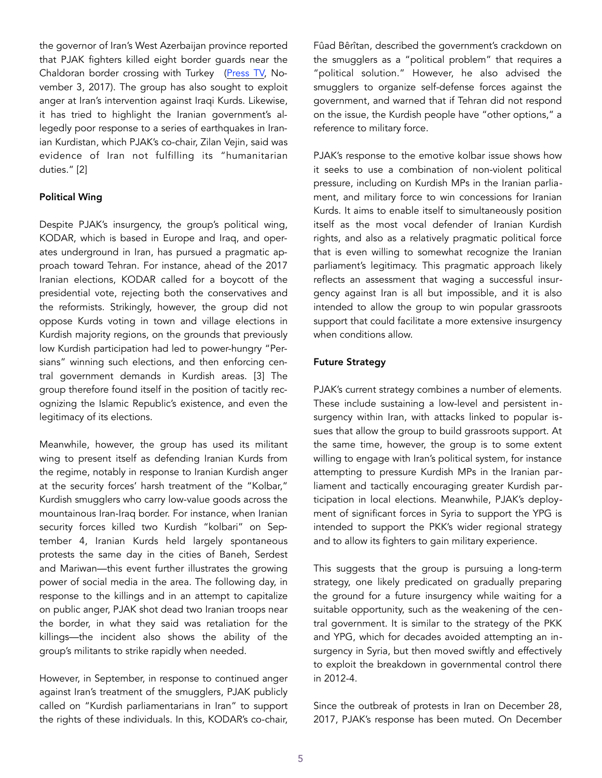the governor of Iran's West Azerbaijan province reported that PJAK fighters killed eight border guards near the Chaldoran border crossing with Turkey ([Press TV,](http://www.presstv.com/Detail/2017/11/03/540888/Iran-West-Azarbaijan-Chaldoran-Alireza-Radfar-border-guards-terrorists) November 3, 2017). The group has also sought to exploit anger at Iran's intervention against Iraqi Kurds. Likewise, it has tried to highlight the Iranian government's allegedly poor response to a series of earthquakes in Iranian Kurdistan, which PJAK's co-chair, Zilan Vejin, said was evidence of Iran not fulfilling its "humanitarian duties." [2]

# Political Wing

Despite PJAK's insurgency, the group's political wing, KODAR, which is based in Europe and Iraq, and operates underground in Iran, has pursued a pragmatic approach toward Tehran. For instance, ahead of the 2017 Iranian elections, KODAR called for a boycott of the presidential vote, rejecting both the conservatives and the reformists. Strikingly, however, the group did not oppose Kurds voting in town and village elections in Kurdish majority regions, on the grounds that previously low Kurdish participation had led to power-hungry "Persians" winning such elections, and then enforcing central government demands in Kurdish areas. [3] The group therefore found itself in the position of tacitly recognizing the Islamic Republic's existence, and even the legitimacy of its elections.

Meanwhile, however, the group has used its militant wing to present itself as defending Iranian Kurds from the regime, notably in response to Iranian Kurdish anger at the security forces' harsh treatment of the "Kolbar," Kurdish smugglers who carry low-value goods across the mountainous Iran-Iraq border. For instance, when Iranian security forces killed two Kurdish "kolbari" on September 4, Iranian Kurds held largely spontaneous protests the same day in the cities of Baneh, Serdest and Mariwan—this event further illustrates the growing power of social media in the area. The following day, in response to the killings and in an attempt to capitalize on public anger, PJAK shot dead two Iranian troops near the border, in what they said was retaliation for the killings—the incident also shows the ability of the group's militants to strike rapidly when needed.

However, in September, in response to continued anger against Iran's treatment of the smugglers, PJAK publicly called on "Kurdish parliamentarians in Iran" to support the rights of these individuals. In this, KODAR's co-chair,

Fûad Bêrîtan, described the government's crackdown on the smugglers as a "political problem" that requires a "political solution." However, he also advised the smugglers to organize self-defense forces against the government, and warned that if Tehran did not respond on the issue, the Kurdish people have "other options," a reference to military force.

PJAK's response to the emotive kolbar issue shows how it seeks to use a combination of non-violent political pressure, including on Kurdish MPs in the Iranian parliament, and military force to win concessions for Iranian Kurds. It aims to enable itself to simultaneously position itself as the most vocal defender of Iranian Kurdish rights, and also as a relatively pragmatic political force that is even willing to somewhat recognize the Iranian parliament's legitimacy. This pragmatic approach likely reflects an assessment that waging a successful insurgency against Iran is all but impossible, and it is also intended to allow the group to win popular grassroots support that could facilitate a more extensive insurgency when conditions allow.

# Future Strategy

PJAK's current strategy combines a number of elements. These include sustaining a low-level and persistent insurgency within Iran, with attacks linked to popular issues that allow the group to build grassroots support. At the same time, however, the group is to some extent willing to engage with Iran's political system, for instance attempting to pressure Kurdish MPs in the Iranian parliament and tactically encouraging greater Kurdish participation in local elections. Meanwhile, PJAK's deployment of significant forces in Syria to support the YPG is intended to support the PKK's wider regional strategy and to allow its fighters to gain military experience.

This suggests that the group is pursuing a long-term strategy, one likely predicated on gradually preparing the ground for a future insurgency while waiting for a suitable opportunity, such as the weakening of the central government. It is similar to the strategy of the PKK and YPG, which for decades avoided attempting an insurgency in Syria, but then moved swiftly and effectively to exploit the breakdown in governmental control there in 2012-4.

Since the outbreak of protests in Iran on December 28, 2017, PJAK's response has been muted. On December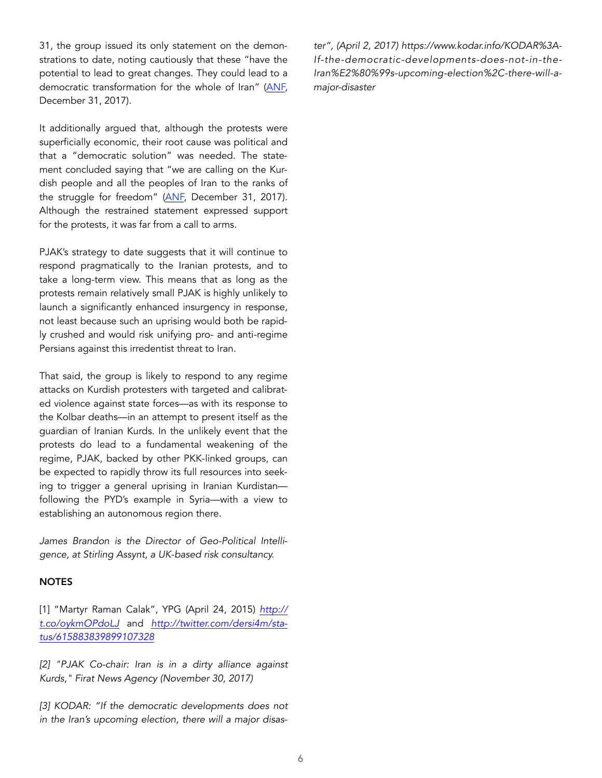31, the group issued its only statement on the demonstrations to date, noting cautiously that these "have the potential to lead to great changes. They could lead to a democratic transformation for the whole of Iran" [\(ANF,](https://anfenglish.com/kurdistan/pjak-calls-on-peoples-of-iran-to-fight-and-stand-together-23940) December 31, 2017).

It additionally argued that, although the protests were superficially economic, their root cause was political and that a "democratic solution" was needed. The statement concluded saying that "we are calling on the Kurdish people and all the peoples of Iran to the ranks of the struggle for freedom" [\(ANF,](https://anfenglish.com/kurdistan/pjak-calls-on-peoples-of-iran-to-fight-and-stand-together-23940) December 31, 2017). Although the restrained statement expressed support for the protests, it was far from a call to arms.

PJAK's strategy to date suggests that it will continue to respond pragmatically to the Iranian protests, and to take a long-term view. This means that as long as the protests remain relatively small PJAK is highly unlikely to launch a significantly enhanced insurgency in response, not least because such an uprising would both be rapidly crushed and would risk unifying pro- and anti-regime Persians against this irredentist threat to Iran.

That said, the group is likely to respond to any regime attacks on Kurdish protesters with targeted and calibrated violence against state forces—as with its response to the Kolbar deaths—in an attempt to present itself as the guardian of Iranian Kurds. In the unlikely event that the protests do lead to a fundamental weakening of the regime, PJAK, backed by other PKK-linked groups, can be expected to rapidly throw its full resources into seeking to trigger a general uprising in Iranian Kurdistan following the PYD's example in Syria—with a view to establishing an autonomous region there.

*James Brandon is the Director of Geo-Political Intelligence, at Stirling Assynt, a UK-based risk consultancy.* 

#### **NOTES**

[1] "Martyr Raman Calak", YPG (April 24, 2015) *[http://](http://t.co/oykmOPdoLJ) [t.co/oykmOPdoLJ](http://t.co/oykmOPdoLJ)* and *[http://twitter.com/dersi4m/sta](http://twitter.com/dersi4m/status/615883839899107328)[tus/615883839899107328](http://twitter.com/dersi4m/status/615883839899107328)*

*[2] "PJAK Co-chair: Iran is in a dirty alliance against Kurds," Firat News Agency (November 30, 2017)* 

*[3] KODAR: "If the democratic developments does not in the Iran's upcoming election, there will a major disas-* *ter", (April 2, 2017) https://www.kodar.info/KODAR%3A-If-the-democratic-developments-does-not-in-the-Iran%E2%80%99s-upcoming-election%2C-there-will-amajor-disaster*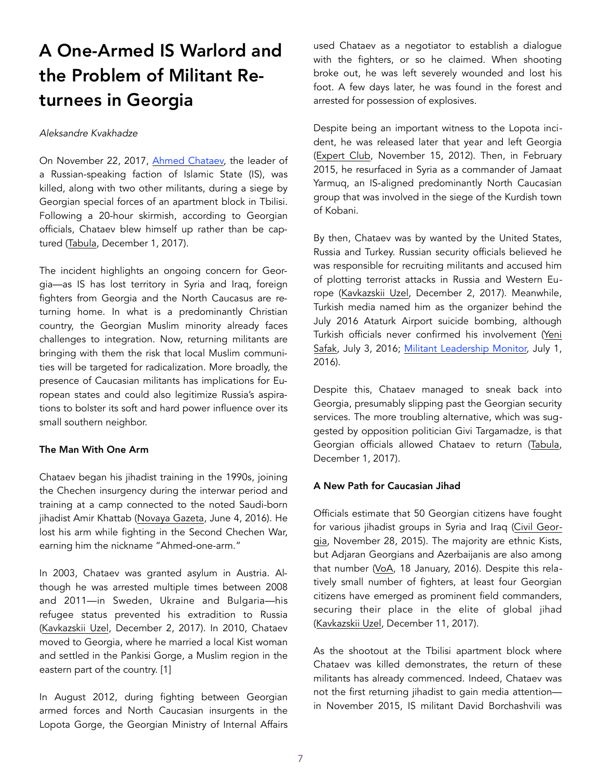# A One-Armed IS Warlord and the Problem of Militant Returnees in Georgia

#### *Aleksandre Kvakhadze*

On November 22, 2017, [Ahmed Chataev,](https://jamestown.org/organization/akhmed-chataev/) the leader of a Russian-speaking faction of Islamic State (IS), was killed, along with two other militants, during a siege by Georgian special forces of an apartment block in Tbilisi. Following a 20-hour skirmish, according to Georgian officials, Chataev blew himself up rather than be captured [\(Tabula](http://www.tabula.ge/ge/story/127117-sus-i-chataevma-tavi-aifetqa-ori-piri-ki-likvidirebulia-specrazmis-mier), December 1, 2017).

The incident highlights an ongoing concern for Georgia—as IS has lost territory in Syria and Iraq, foreign fighters from Georgia and the North Caucasus are returning home. In what is a predominantly Christian country, the Georgian Muslim minority already faces challenges to integration. Now, returning militants are bringing with them the risk that local Muslim communities will be targeted for radicalization. More broadly, the presence of Caucasian militants has implications for European states and could also legitimize Russia's aspirations to bolster its soft and hard power influence over its small southern neighbor.

# The Man With One Arm

Chataev began his jihadist training in the 1990s, joining the Chechen insurgency during the interwar period and training at a camp connected to the noted Saudi-born jihadist Amir Khattab [\(Novaya Gazeta,](https://www.novayagazeta.ru/articles/2016/07/04/69138-terakt-v-stambule-rossiyane-pod-podozreniem-sprovotsiruet-li-deystviya-turetskih-spetssluzhb-pritok-novyh-rekrutov-v-siriyu) June 4, 2016). He lost his arm while fighting in the Second Chechen War, earning him the nickname "Ahmed-one-arm."

In 2003, Chataev was granted asylum in Austria. Although he was arrested multiple times between 2008 and 2011—in Sweden, Ukraine and Bulgaria—his refugee status prevented his extradition to Russia ([Kavkazskii Uzel,](http://www.kavkaz-uzel.eu/articles/285270/) December 2, 2017). In 2010, Chataev moved to Georgia, where he married a local Kist woman and settled in the Pankisi Gorge, a Muslim region in the eastern part of the country. [1]

In August 2012, during fighting between Georgian armed forces and North Caucasian insurgents in the Lopota Gorge, the Georgian Ministry of Internal Affairs used Chataev as a negotiator to establish a dialogue with the fighters, or so he claimed. When shooting broke out, he was left severely wounded and lost his foot. A few days later, he was found in the forest and arrested for possession of explosives.

Despite being an important witness to the Lopota incident, he was released later that year and left Georgia ([Expert Club,](http://eng.expertclub.ge/portal/cnid__12941/alias__Expertclub/lang__en/tabid__2546/default.aspx) November 15, 2012). Then, in February 2015, he resurfaced in Syria as a commander of Jamaat Yarmuq, an IS-aligned predominantly North Caucasian group that was involved in the siege of the Kurdish town of Kobani.

By then, Chataev was by wanted by the United States, Russia and Turkey. Russian security officials believed he was responsible for recruiting militants and accused him of plotting terrorist attacks in Russia and Western Europe ([Kavkazskii Uzel,](http://www.kavkaz-uzel.eu/articles/285270/%22%20%5Cl%20%22note_link_21) December 2, 2017). Meanwhile, Turkish media named him as the organizer behind the July 2016 Ataturk Airport suicide bombing, although Turkish officials never confirmed his involvement ([Yeni](http://www.yenisafak.com/gundem/catayeve-kizilhac-korumasi-2489997)  [Safak,](http://www.yenisafak.com/gundem/catayeve-kizilhac-korumasi-2489997) July 3, 2016; [Militant Leadership Monitor,](https://jamestown.org/program/alleged-mastermind-of-istanbul-airport-bombing-who-is-akhmed-chataev/) July 1, 2016).

Despite this, Chataev managed to sneak back into Georgia, presumably slipping past the Georgian security services. The more troubling alternative, which was suggested by opposition politician Givi Targamadze, is that Georgian officials allowed Chataev to return ([Tabula,](http://www.tabula.ge/ge/story/127125-targamadze-chataevis-shemosvla-gaxarias-moadgilis-sabanadzis-pasuxismgeblobacaa) December 1, 2017).

# A New Path for Caucasian Jihad

Officials estimate that 50 Georgian citizens have fought for various jihadist groups in Syria and Iraq ([Civil Geor](http://www.civil.ge/geo/article.php?id=29936)[gia,](http://www.civil.ge/geo/article.php?id=29936) November 28, 2015). The majority are ethnic Kists, but Adjaran Georgians and Azerbaijanis are also among that number ([VoA,](https://www.amerikiskhma.com/a/syria-georgia-pankisi/3151161.html) 18 January, 2016). Despite this relatively small number of fighters, at least four Georgian citizens have emerged as prominent field commanders, securing their place in the elite of global jihad ([Kavkazskii Uzel,](http://www.kavkaz-uzel.eu/articles/251513/) December 11, 2017).

As the shootout at the Tbilisi apartment block where Chataev was killed demonstrates, the return of these militants has already commenced. Indeed, Chataev was not the first returning jihadist to gain media attention in November 2015, IS militant David Borchashvili was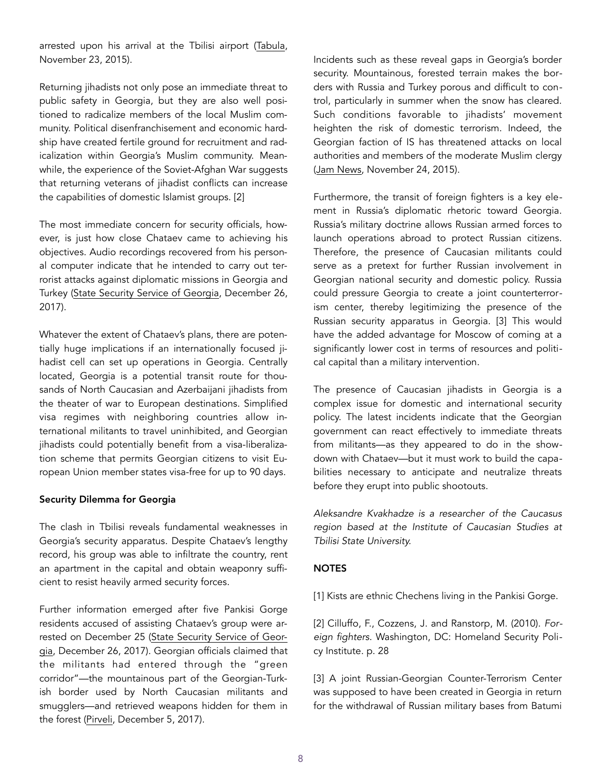arrested upon his arrival at the Tbilisi airport ([Tabula,](http://www.tabula.ge/ge/story/102180-terorizmis-muxlit-dakavebul-davit-borchashvils-brali-klinikashi-tsarudgines) November 23, 2015).

Returning jihadists not only pose an immediate threat to public safety in Georgia, but they are also well positioned to radicalize members of the local Muslim community. Political disenfranchisement and economic hardship have created fertile ground for recruitment and radicalization within Georgia's Muslim community. Meanwhile, the experience of the Soviet-Afghan War suggests that returning veterans of jihadist conflicts can increase the capabilities of domestic Islamist groups. [2]

The most immediate concern for security officials, however, is just how close Chataev came to achieving his objectives. Audio recordings recovered from his personal computer indicate that he intended to carry out terrorist attacks against diplomatic missions in Georgia and Turkey ([State Security Service of Georgia,](http://ssg.gov.ge/en/news/303/State-Security-Service-of-Georgia-Detained-5-Individuals-on-charges-of-Financing-Providing-other-Material-Support-and-Resources-to-Terrorist-Activities-) December 26, 2017).

Whatever the extent of Chataev's plans, there are potentially huge implications if an internationally focused jihadist cell can set up operations in Georgia. Centrally located, Georgia is a potential transit route for thousands of North Caucasian and Azerbaijani jihadists from the theater of war to European destinations. Simplified visa regimes with neighboring countries allow international militants to travel uninhibited, and Georgian jihadists could potentially benefit from a visa-liberalization scheme that permits Georgian citizens to visit European Union member states visa-free for up to 90 days.

# Security Dilemma for Georgia

The clash in Tbilisi reveals fundamental weaknesses in Georgia's security apparatus. Despite Chataev's lengthy record, his group was able to infiltrate the country, rent an apartment in the capital and obtain weaponry sufficient to resist heavily armed security forces.

Further information emerged after five Pankisi Gorge residents accused of assisting Chataev's group were ar-rested on December 25 ([State Security Service of Geor](http://ssg.gov.ge/en/news/303/State-Security-Service-of-Georgia-Detained-5-Individuals-on-charges-of-Financing-Providing-other-Material-Support-and-Resources-to-Terrorist-Activities-)[gia,](http://ssg.gov.ge/en/news/303/State-Security-Service-of-Georgia-Detained-5-Individuals-on-charges-of-Financing-Providing-other-Material-Support-and-Resources-to-Terrorist-Activities-) December 26, 2017). Georgian officials claimed that the militants had entered through the "green corridor"—the mountainous part of the Georgian-Turkish border used by North Caucasian militants and smugglers—and retrieved weapons hidden for them in the forest ([Pirveli](http://pirveliradio.ge/?newsid=96143), December 5, 2017).

Incidents such as these reveal gaps in Georgia's border security. Mountainous, forested terrain makes the borders with Russia and Turkey porous and difficult to control, particularly in summer when the snow has cleared. Such conditions favorable to jihadists' movement heighten the risk of domestic terrorism. Indeed, the Georgian faction of IS has threatened attacks on local authorities and members of the moderate Muslim clergy ([Jam News,](https://jam-news.net/?p=2983&lang=ka) November 24, 2015).

Furthermore, the transit of foreign fighters is a key element in Russia's diplomatic rhetoric toward Georgia. Russia's military doctrine allows Russian armed forces to launch operations abroad to protect Russian citizens. Therefore, the presence of Caucasian militants could serve as a pretext for further Russian involvement in Georgian national security and domestic policy. Russia could pressure Georgia to create a joint counterterrorism center, thereby legitimizing the presence of the Russian security apparatus in Georgia. [3] This would have the added advantage for Moscow of coming at a significantly lower cost in terms of resources and political capital than a military intervention.

The presence of Caucasian jihadists in Georgia is a complex issue for domestic and international security policy. The latest incidents indicate that the Georgian government can react effectively to immediate threats from militants—as they appeared to do in the showdown with Chataev—but it must work to build the capabilities necessary to anticipate and neutralize threats before they erupt into public shootouts.

*Aleksandre Kvakhadze is a researcher of the Caucasus region based at the Institute of Caucasian Studies at Tbilisi State University.* 

# **NOTES**

[1] Kists are ethnic Chechens living in the Pankisi Gorge.

[2] Cilluffo, F., Cozzens, J. and Ranstorp, M. (2010). *Foreign fighters*. Washington, DC: Homeland Security Policy Institute. p. 28

[3] A joint Russian-Georgian Counter-Terrorism Center was supposed to have been created in Georgia in return for the withdrawal of Russian military bases from Batumi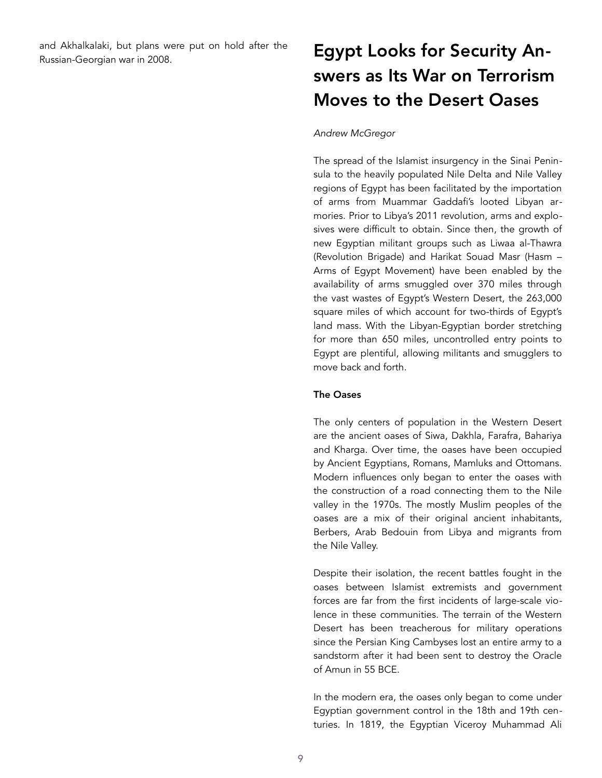and Akhalkalaki, but plans were put on hold after the and Akhalkalaki, but plans were put on hold after the **Egypt Looks for Security An-**<br>Russian-Georgian war in 2008.

# swers as Its War on Terrorism Moves to the Desert Oases

#### *Andrew McGregor*

The spread of the Islamist insurgency in the Sinai Peninsula to the heavily populated Nile Delta and Nile Valley regions of Egypt has been facilitated by the importation of arms from Muammar Gaddafi's looted Libyan armories. Prior to Libya's 2011 revolution, arms and explosives were difficult to obtain. Since then, the growth of new Egyptian militant groups such as Liwaa al-Thawra (Revolution Brigade) and Harikat Souad Masr (Hasm – Arms of Egypt Movement) have been enabled by the availability of arms smuggled over 370 miles through the vast wastes of Egypt's Western Desert, the 263,000 square miles of which account for two-thirds of Egypt's land mass. With the Libyan-Egyptian border stretching for more than 650 miles, uncontrolled entry points to Egypt are plentiful, allowing militants and smugglers to move back and forth.

### The Oases

The only centers of population in the Western Desert are the ancient oases of Siwa, Dakhla, Farafra, Bahariya and Kharga. Over time, the oases have been occupied by Ancient Egyptians, Romans, Mamluks and Ottomans. Modern influences only began to enter the oases with the construction of a road connecting them to the Nile valley in the 1970s. The mostly Muslim peoples of the oases are a mix of their original ancient inhabitants, Berbers, Arab Bedouin from Libya and migrants from the Nile Valley.

Despite their isolation, the recent battles fought in the oases between Islamist extremists and government forces are far from the first incidents of large-scale violence in these communities. The terrain of the Western Desert has been treacherous for military operations since the Persian King Cambyses lost an entire army to a sandstorm after it had been sent to destroy the Oracle of Amun in 55 BCE.

In the modern era, the oases only began to come under Egyptian government control in the 18th and 19th centuries. In 1819, the Egyptian Viceroy Muhammad Ali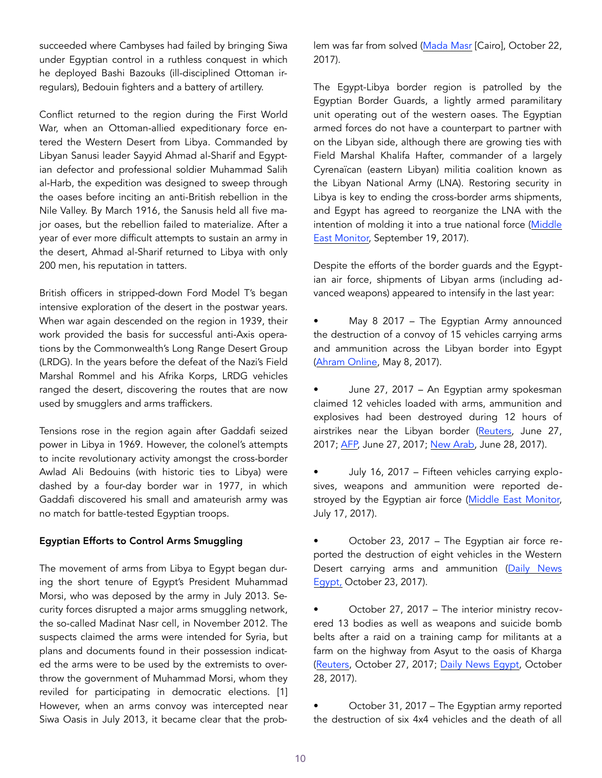succeeded where Cambyses had failed by bringing Siwa under Egyptian control in a ruthless conquest in which he deployed Bashi Bazouks (ill-disciplined Ottoman irregulars), Bedouin fighters and a battery of artillery.

Conflict returned to the region during the First World War, when an Ottoman-allied expeditionary force entered the Western Desert from Libya. Commanded by Libyan Sanusi leader Sayyid Ahmad al-Sharif and Egyptian defector and professional soldier Muhammad Salih al-Harb, the expedition was designed to sweep through the oases before inciting an anti-British rebellion in the Nile Valley. By March 1916, the Sanusis held all five major oases, but the rebellion failed to materialize. After a year of ever more difficult attempts to sustain an army in the desert, Ahmad al-Sharif returned to Libya with only 200 men, his reputation in tatters.

British officers in stripped-down Ford Model T's began intensive exploration of the desert in the postwar years. When war again descended on the region in 1939, their work provided the basis for successful anti-Axis operations by the Commonwealth's Long Range Desert Group (LRDG). In the years before the defeat of the Nazi's Field Marshal Rommel and his Afrika Korps, LRDG vehicles ranged the desert, discovering the routes that are now used by smugglers and arms traffickers.

Tensions rose in the region again after Gaddafi seized power in Libya in 1969. However, the colonel's attempts to incite revolutionary activity amongst the cross-border Awlad Ali Bedouins (with historic ties to Libya) were dashed by a four-day border war in 1977, in which Gaddafi discovered his small and amateurish army was no match for battle-tested Egyptian troops.

# Egyptian Efforts to Control Arms Smuggling

The movement of arms from Libya to Egypt began during the short tenure of Egypt's President Muhammad Morsi, who was deposed by the army in July 2013. Security forces disrupted a major arms smuggling network, the so-called Madinat Nasr cell, in November 2012. The suspects claimed the arms were intended for Syria, but plans and documents found in their possession indicated the arms were to be used by the extremists to overthrow the government of Muhammad Morsi, whom they reviled for participating in democratic elections. [1] However, when an arms convoy was intercepted near Siwa Oasis in July 2013, it became clear that the problem was far from solved [\(Mada Masr](https://www.madamasr.com/en/2017/10/22/feature/politics/the-western-desert-the-other-front-in-the-egyptian-war-on-terror/) [Cairo], October 22, 2017).

The Egypt-Libya border region is patrolled by the Egyptian Border Guards, a lightly armed paramilitary unit operating out of the western oases. The Egyptian armed forces do not have a counterpart to partner with on the Libyan side, although there are growing ties with Field Marshal Khalifa Hafter, commander of a largely Cyrenaïcan (eastern Libyan) militia coalition known as the Libyan National Army (LNA). Restoring security in Libya is key to ending the cross-border arms shipments, and Egypt has agreed to reorganize the LNA with the intention of molding it into a true national force ([Middle](https://www.middleeastmonitor.com/20170919-egypt-to-restructure-libyas-army-under-haftars-command/%22%20%5Ct%20%22_blank)  [East Monitor,](https://www.middleeastmonitor.com/20170919-egypt-to-restructure-libyas-army-under-haftars-command/%22%20%5Ct%20%22_blank) September 19, 2017).

Despite the efforts of the border guards and the Egyptian air force, shipments of Libyan arms (including advanced weapons) appeared to intensify in the last year:

- May 8 2017 The Egyptian Army announced the destruction of a convoy of 15 vehicles carrying arms and ammunition across the Libyan border into Egypt ([Ahram Online,](http://english.ahram.org.eg/NewsContent/1/0/268389/Egypt/0/Egyptian-armed-forces-foils-attempt-to-smuggle-arm.aspx) May 8, 2017).
- June 27, 2017 An Egyptian army spokesman claimed 12 vehicles loaded with arms, ammunition and explosives had been destroyed during 12 hours of airstrikes near the Libyan border ([Reuters,](https://www.reuters.com/article/us-egypt-security/egyptian-air-strikes-hit-12-vehicles-crossing-from-libya-military-idUSKBN19I1OY) June 27, 2017; [AFP,](https://www.al-monitor.com/pulse/afp/2017/06/egypt.html) June 27, 2017; [New Arab,](https://www.alaraby.co.uk/english/news/2017/6/28/egyptian-military-strikes-libyan-weapons-convoy-crossing-border) June 28, 2017).

• July 16, 2017 – Fifteen vehicles carrying explosives, weapons and ammunition were reported de-stroyed by the Egyptian air force ([Middle East Monitor,](https://www.middleeastmonitor.com/20170717-egypt-army-thwarts-militant-attempt-to-cross-libyan-border/) July 17, 2017).

• October 23, 2017 – The Egyptian air force reported the destruction of eight vehicles in the Western Desert carrying arms and ammunition ([Daily News](https://dailynewsegypt.com/2017/10/23/air-force-destroys-8-vehicles-carrying-arms-western-desert/)  [Egypt,](https://dailynewsegypt.com/2017/10/23/air-force-destroys-8-vehicles-carrying-arms-western-desert/) October 23, 2017).

October 27, 2017 - The interior ministry recovered 13 bodies as well as weapons and suicide bomb belts after a raid on a training camp for militants at a farm on the highway from Asyut to the oasis of Kharga ([Reuters](https://www.reuters.com/article/us-egypt-security/egypt-kills-13-militants-in-raid-on-western-desert-farm-idUSKBN1CW12U), October 27, 2017; [Daily News Egypt](https://dailynewsegypt.com/2017/10/28/security-raid-kills-13-alleged-militants-assiut/), October 28, 2017).

• October 31, 2017 – The Egyptian army reported the destruction of six 4x4 vehicles and the death of all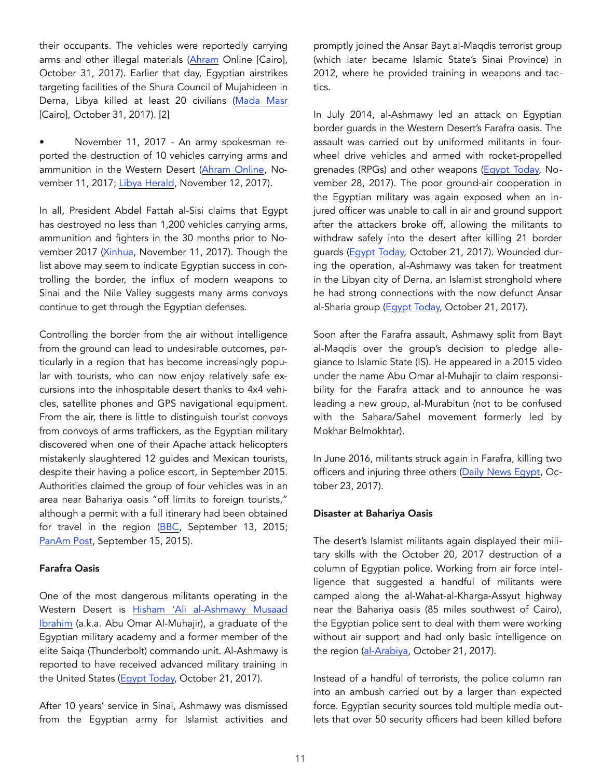their occupants. The vehicles were reportedly carrying arms and other illegal materials [\(Ahram](http://english.ahram.org.eg/NewsContent/1/64/280700/Egypt/Politics-/Egypts-military-foils-attempt-to-smuggle-arms-and-.aspx) Online [Cairo], October 31, 2017). Earlier that day, Egyptian airstrikes targeting facilities of the Shura Council of Mujahideen in Derna, Libya killed at least 20 civilians [\(Mada Masr](https://www.madamasr.com/en/2017/10/31/feature/politics/while-cairo-condemns-derna-bombing-government-source-attributes-airstrikes-to-egyptian-air-force/) [Cairo], October 31, 2017). [2]

• November 11, 2017 - An army spokesman reported the destruction of 10 vehicles carrying arms and ammunition in the Western Desert [\(Ahram Online,](http://english.ahram.org.eg/NewsContent/1/0/281312/Egypt/0/Egypts-army-foils-attempt-to-smuggle-arms-through-.aspx) November 11, 2017; [Libya Herald](https://www.libyaherald.com/2017/11/12/egypt-says-its-warplanes-struck-new-terrorist-convoy-from-libya/), November 12, 2017).

In all, President Abdel Fattah al-Sisi claims that Egypt has destroyed no less than 1,200 vehicles carrying arms, ammunition and fighters in the 30 months prior to November 2017 [\(Xinhua,](http://news.xinhuanet.com/english/2017-11/11/c_136745207.htm) November 11, 2017). Though the list above may seem to indicate Egyptian success in controlling the border, the influx of modern weapons to Sinai and the Nile Valley suggests many arms convoys continue to get through the Egyptian defenses.

Controlling the border from the air without intelligence from the ground can lead to undesirable outcomes, particularly in a region that has become increasingly popular with tourists, who can now enjoy relatively safe excursions into the inhospitable desert thanks to 4x4 vehicles, satellite phones and GPS navigational equipment. From the air, there is little to distinguish tourist convoys from convoys of arms traffickers, as the Egyptian military discovered when one of their Apache attack helicopters mistakenly slaughtered 12 guides and Mexican tourists, despite their having a police escort, in September 2015. Authorities claimed the group of four vehicles was in an area near Bahariya oasis "off limits to foreign tourists," although a permit with a full itinerary had been obtained for travel in the region ([BBC](http://www.bbc.com/news/world-middle-east-34241680), September 13, 2015; [PanAm Post,](https://panampost.com/franco-bastida/2015/09/15/leaked-permit-refutes-egypts-account-of-mexican-tourist-massacre/) September 15, 2015).

#### Farafra Oasis

One of the most dangerous militants operating in the Western Desert is [Hisham 'Ali al-Ashmawy Musaad](https://jamestown.org/organization/hisham-ashamwy/)  [Ibrahim](https://jamestown.org/organization/hisham-ashamwy/) (a.k.a. Abu Omar Al-Muhajir), a graduate of the Egyptian military academy and a former member of the elite Saiqa (Thunderbolt) commando unit. Al-Ashmawy is reported to have received advanced military training in the United States [\(Egypt Today,](https://www.egypttoday.com/Article/2/28718/Hisham-Ashmawy-%E2%80%93-Egypt%E2%80%99s-most-dangerous-wanted-terrorist) October 21, 2017).

After 10 years' service in Sinai, Ashmawy was dismissed from the Egyptian army for Islamist activities and promptly joined the Ansar Bayt al-Maqdis terrorist group (which later became Islamic State's Sinai Province) in 2012, where he provided training in weapons and tactics.

In July 2014, al-Ashmawy led an attack on Egyptian border guards in the Western Desert's Farafra oasis. The assault was carried out by uniformed militants in fourwheel drive vehicles and armed with rocket-propelled grenades (RPGs) and other weapons ([Egypt Today,](https://www.egypttoday.com/Article/1/34560/11-elements-of-Ansar-Beit-al-Maqdes-send-to-Grand) November 28, 2017). The poor ground-air cooperation in the Egyptian military was again exposed when an injured officer was unable to call in air and ground support after the attackers broke off, allowing the militants to withdraw safely into the desert after killing 21 border guards ([Egypt Today,](https://www.egypttoday.com/Article/2/28718/Hisham-Ashmawy-%E2%80%93-Egypt%E2%80%99s-most-dangerous-wanted-terrorist) October 21, 2017). Wounded during the operation, al-Ashmawy was taken for treatment in the Libyan city of Derna, an Islamist stronghold where he had strong connections with the now defunct Ansar al-Sharia group ([Egypt Today,](https://www.egypttoday.com/Article/2/28718/Hisham-Ashmawy-%E2%80%93-Egypt%E2%80%99s-most-dangerous-wanted-terrorist) October 21, 2017).

Soon after the Farafra assault, Ashmawy split from Bayt al-Maqdis over the group's decision to pledge allegiance to Islamic State (IS). He appeared in a 2015 video under the name Abu Omar al-Muhajir to claim responsibility for the Farafra attack and to announce he was leading a new group, al-Murabitun (not to be confused with the Sahara/Sahel movement formerly led by Mokhar Belmokhtar).

In June 2016, militants struck again in Farafra, killing two officers and injuring three others [\(Daily News Egypt,](https://dailynewsegypt.com/2017/10/23/air-force-destroys-8-vehicles-carrying-arms-western-desert/) October 23, 2017).

#### Disaster at Bahariya Oasis

The desert's Islamist militants again displayed their military skills with the October 20, 2017 destruction of a column of Egyptian police. Working from air force intelligence that suggested a handful of militants were camped along the al-Wahat-al-Kharga-Assyut highway near the Bahariya oasis (85 miles southwest of Cairo), the Egyptian police sent to deal with them were working without air support and had only basic intelligence on the region ([al-Arabiya](http://english.alarabiya.net/en/features/2017/10/21/Details-emerge-of-attack-between-police-extremists-in-Egypt-s-Western-Desert.html), October 21, 2017).

Instead of a handful of terrorists, the police column ran into an ambush carried out by a larger than expected force. Egyptian security sources told multiple media outlets that over 50 security officers had been killed before